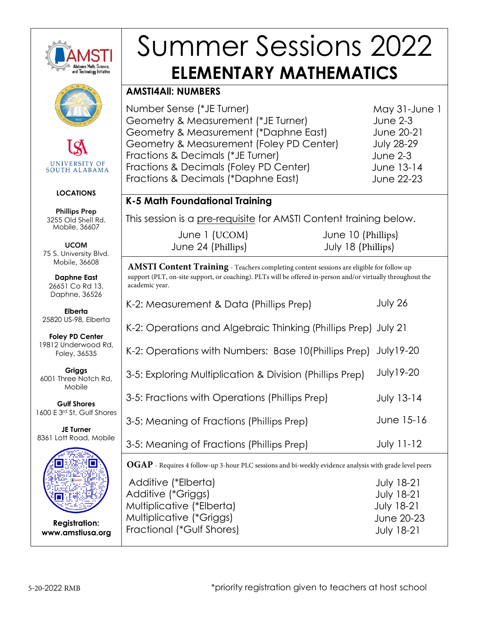

# Summer Sessions 2022 **ELEMENTARY MATHEMATICS**

### **AMSTI4All: NUMBERS**

Number Sense (\*JE Turner) Geometry & Measurement (\*JE Turner) Geometry & Measurement (\*Daphne East) Geometry & Measurement (Foley PD Center) Fractions & Decimals (\*JE Turner) Fractions & Decimals (Foley PD Center) Fractions & Decimals (\*Daphne East)

May 31-June 1 June 2-3 June 20-21 July 28-29 June 2-3 June 13-14 June 22-23

## **K-5 Math Foundational Training**

This session is a pre-requisite for AMSTI Content training below.

|                    | June 1 (UCOM) |
|--------------------|---------------|
| June 24 (Phillips) |               |

 June 10 (Phillips) July 18 (Phillips)

**AMSTI Content Training** - Teachers completing content sessions are eligible for follow up support (PLT, on-site support, or coaching). PLTs will be offered in-person and/or virtually throughout the academic year.

| K-2: Measurement & Data (Phillips Prep)                                                                | July 26           |
|--------------------------------------------------------------------------------------------------------|-------------------|
| K-2: Operations and Algebraic Thinking (Phillips Prep) July 21                                         |                   |
| K-2: Operations with Numbers: Base 10(Phillips Prep)                                                   | <b>July 19-20</b> |
| 3-5: Exploring Multiplication & Division (Phillips Prep)                                               | <b>July19-20</b>  |
| 3-5: Fractions with Operations (Phillips Prep)                                                         | <b>July 13-14</b> |
| 3-5: Meaning of Fractions (Phillips Prep)                                                              | June 15-16        |
| 3-5: Meaning of Fractions (Phillips Prep)                                                              | <b>July 11-12</b> |
| OGAP - Requires 4 follow-up 3-hour PLC sessions and bi-weekly evidence analysis with grade level peers |                   |
| Additive (*Elberta)                                                                                    | <b>July 18-21</b> |
| Additive (*Griggs)                                                                                     | <b>July 18-21</b> |
| Multiplicative (*Elberta)                                                                              | <b>July 18-21</b> |
| Multiplicative (*Griggs)                                                                               | June 20-23        |
| Fractional (*Gulf Shores)                                                                              | <b>July 18-21</b> |



**UNIVERSITY OF SOUTH ALABAMA** 

#### **LOCATIONS**

Phillips Prep 3255 Old Shell Rd. Mobile, 36607

UCOM 75 S. University Blvd. Mobile, 36608

**Daphne East**  26651 Co Rd 13, Daphne, 36526

**Elberta**  25820 US-98, Elberta

**Foley PD Center**  19812 Underwood Rd, Foley, 36535

**Griggs**  6001 Three Notch Rd, Mobile

**Gulf Shores**  1600 E 3 rd St, Gulf Shores

**JE Turner**  8361 Lott Road, Mobile



**Registration: www.amstiusa.org**